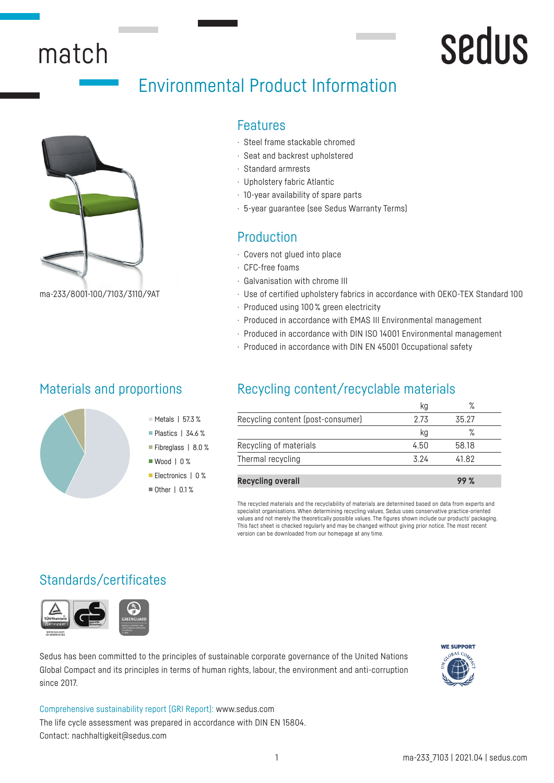## match

## Environmental Product Information



ma-233/8001-100/7103/3110/9AT

#### Features

- · Steel frame stackable chromed
- · Seat and backrest upholstered
- · Standard armrests
- · Upholstery fabric Atlantic
- · 10-year availability of spare parts
- · 5-year guarantee (see Sedus Warranty Terms)

## Production

- · Covers not glued into place
- · CFC-free foams
- · Galvanisation with chrome III
- · Use of certified upholstery fabrics in accordance with OEKO-TEX Standard 100

sedus

- · Produced using 100 % green electricity
- · Produced in accordance with EMAS III Environmental management
- · Produced in accordance with DIN ISO 14001 Environmental management
- · Produced in accordance with DIN EN 45001 Occupational safety

## Materials and proportions



## Recycling content/recyclable materials

| 35 27<br>2 73<br>℅<br>kg |                                |
|--------------------------|--------------------------------|
|                          |                                |
|                          |                                |
|                          |                                |
|                          |                                |
|                          | 58.18<br>4.50<br>3 24<br>41 82 |

**Recycling overall 99 %**

The recycled materials and the recyclability of materials are determined based on data from experts and specialist organisations. When determining recycling values, Sedus uses conservative practice-oriented values and not merely the theoretically possible values. The figures shown include our products' packaging. This fact sheet is checked regularly and may be changed without giving prior notice. The most recent version can be downloaded from our homepage at any time.

## Standards/certificates



Sedus has been committed to the principles of sustainable corporate governance of the United Nations Global Compact and its principles in terms of human rights, labour, the environment and anti-corruption since 2017.



Comprehensive sustainability report (GRI Report): www.sedus.com The life cycle assessment was prepared in accordance with DIN EN 15804. Contact: nachhaltigkeit@sedus.com

 $M$  Metals | 57.3 % Plastics | 34.6 % Fibreglass | 8.0 % ■ Wood | 0 % Electronics | 0 %  $\blacksquare$  Other | 0.1 %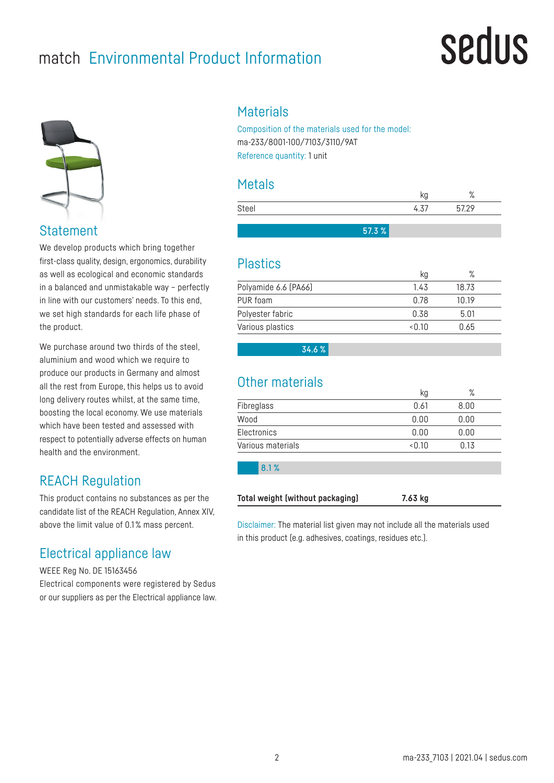## match Environmental Product Information

## sedus



Statement

We develop products which bring together first-class quality, design, ergonomics, durability as well as ecological and economic standards in a balanced and unmistakable way – perfectly in line with our customers' needs. To this end, we set high standards for each life phase of the product.

We purchase around two thirds of the steel, aluminium and wood which we require to produce our products in Germany and almost all the rest from Europe, this helps us to avoid long delivery routes whilst, at the same time, boosting the local economy. We use materials which have been tested and assessed with respect to potentially adverse effects on human health and the environment.

## REACH Regulation

This product contains no substances as per the candidate list of the REACH Regulation, Annex XIV, above the limit value of 0.1 % mass percent.

## Electrical appliance law

WEEE Reg No. DE 15163456 Electrical components were registered by Sedus or our suppliers as per the Electrical appliance law.

## **Materials**

Composition of the materials used for the model: ma-233/8001-100/7103/3110/9AT Reference quantity: 1 unit

### Metals

|       |       |      | o.<br>$\sqrt{2}$ |  |
|-------|-------|------|------------------|--|
| Steel |       | 4.37 | 5729             |  |
|       |       |      |                  |  |
|       | 57.3% |      |                  |  |

### Plastics

|                      | kg                  | $\sqrt{\circ}$ |  |
|----------------------|---------------------|----------------|--|
| Polyamide 6.6 (PA66) | 1.43                | 18.73          |  |
| PUR foam             | በ 78                | 10 19          |  |
| Polyester fabric     | 0.38                | 5.01           |  |
| Various plastics     | $<$ $\cap$ 1 $\cap$ | 0.65           |  |

34.6 %

## Other materials

|                   | кg     | $\circ$<br>/о |  |
|-------------------|--------|---------------|--|
| Fibreglass        | 0.61   | 8.00          |  |
| Wood              | 0.00   | 0.00          |  |
| Electronics       | 0.00   | 0.00          |  |
| Various materials | < 0.10 | 0.13          |  |

8.1 %

**Total weight (without packaging) 7.63 kg**

Disclaimer: The material list given may not include all the materials used in this product (e.g. adhesives, coatings, residues etc.).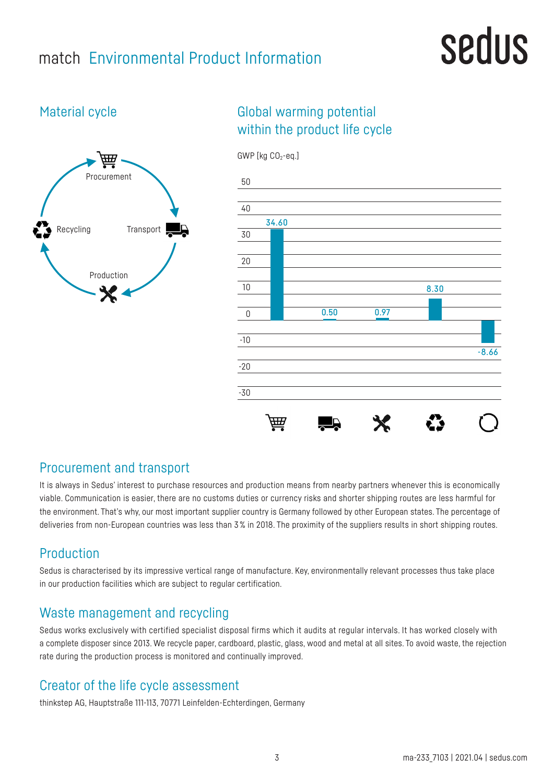## match Environmental Product Information

## sedus

## Material cycle



## Global warming potential within the product life cycle



### Procurement and transport

It is always in Sedus' interest to purchase resources and production means from nearby partners whenever this is economically viable. Communication is easier, there are no customs duties or currency risks and shorter shipping routes are less harmful for the environment. That's why, our most important supplier country is Germany followed by other European states. The percentage of deliveries from non-European countries was less than 3% in 2018. The proximity of the suppliers results in short shipping routes.

## Production

Sedus is characterised by its impressive vertical range of manufacture. Key, environmentally relevant processes thus take place in our production facilities which are subject to regular certification.

## Waste management and recycling

Sedus works exclusively with certified specialist disposal firms which it audits at regular intervals. It has worked closely with a complete disposer since 2013. We recycle paper, cardboard, plastic, glass, wood and metal at all sites. To avoid waste, the rejection rate during the production process is monitored and continually improved.

## Creator of the life cycle assessment

thinkstep AG, Hauptstraße 111-113, 70771 Leinfelden-Echterdingen, Germany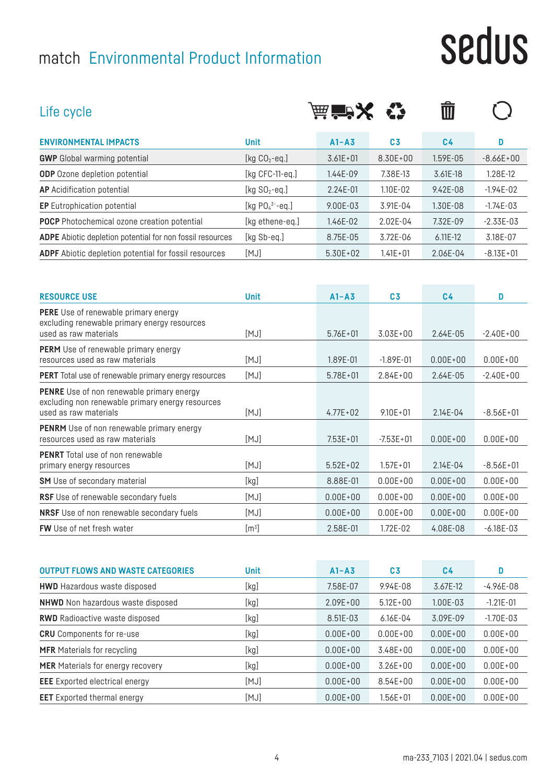## match Environmental Product Information

# sedus

| Life cycle                                                                                                                    |                       | 茜 音 メ        |                | णि             |               |
|-------------------------------------------------------------------------------------------------------------------------------|-----------------------|--------------|----------------|----------------|---------------|
| <b>ENVIRONMENTAL IMPACTS</b>                                                                                                  | <b>Unit</b>           | $A1 - A3$    | C <sub>3</sub> | C <sub>4</sub> | D             |
| <b>GWP</b> Global warming potential                                                                                           | [kg $CO2$ -eq.]       | $3.61E + 01$ | 8.30E+00       | 1.59E-05       | $-8.66E + 00$ |
| <b>ODP</b> Ozone depletion potential                                                                                          | [ $kg$ CFC-11-eq.]    | 1.44E-09     | 7.38E-13       | 3.61E-18       | 1.28E-12      |
| <b>AP</b> Acidification potential                                                                                             | [kg $SO2$ -eq.]       | $2.24E - 01$ | 1.10E-02       | $9.42E - 08$   | $-1.94E-02$   |
| <b>EP</b> Eutrophication potential                                                                                            | [kg $PO_4^{3-}$ -eq.] | 9.00E-03     | 3.91E-04       | 1.30E-08       | $-1.74E-03$   |
| <b>POCP</b> Photochemical ozone creation potential                                                                            | [kg ethene-eq.]       | 1.46E-02     | 2.02E-04       | 7.32E-09       | $-2.33E-03$   |
| ADPE Abiotic depletion potential for non fossil resources                                                                     | [kg Sb-eq.]           | 8.75E-05     | 3.72E-06       | 6.11E-12       | 3.18E-07      |
| ADPF Abiotic depletion potential for fossil resources                                                                         | [MJ]                  | $5.30E + 02$ | $1.41E + 01$   | 2.06E-04       | $-8.13E + 01$ |
|                                                                                                                               |                       |              |                |                |               |
| <b>RESOURCE USE</b>                                                                                                           | <b>Unit</b>           | $A1 - A3$    | C <sub>3</sub> | C <sub>4</sub> | D             |
| <b>PERE</b> Use of renewable primary energy<br>excluding renewable primary energy resources<br>used as raw materials          | [MJ]                  | $5.76E + 01$ | $3.03E + 00$   | 2.64E-05       | $-2.40E + 00$ |
| <b>PERM</b> Use of renewable primary energy<br>resources used as raw materials                                                | [MJ]                  | 1.89E-01     | $-1.89E - 01$  | $0.00E + 00$   | $0.00E + 00$  |
| PERT Total use of renewable primary energy resources                                                                          | [MJ]                  | $5.78E + 01$ | $2.84E + 00$   | 2.64E-05       | $-2.40E + 00$ |
| <b>PENRE</b> Use of non renewable primary energy<br>excluding non renewable primary energy resources<br>used as raw materials | [MJ]                  | $4.77E + 02$ | $9.10E + 01$   | $2.14E - 04$   | $-8.56E+01$   |
| <b>PENRM</b> Use of non renewable primary energy<br>resources used as raw materials                                           | [MJ]                  | $7.53E + 01$ | $-7.53E + 01$  | $0.00E + 00$   | $0.00E + 00$  |
| <b>PENRT</b> Total use of non renewable<br>primary energy resources                                                           | [MJ]                  | $5.52E + 02$ | $1.57E + 01$   | $2.14E - 04$   | $-8.56E+01$   |
| <b>SM</b> Use of secondary material                                                                                           | [kg]                  | 8.88E-01     | $0.00E + 00$   | $0.00E + 00$   | $0.00E + 00$  |
| RSF Use of renewable secondary fuels                                                                                          | [MJ]                  | $0.00E + 00$ | $0.00E + 00$   | $0.00E + 00$   | $0.00E + 00$  |
| NRSF Use of non renewable secondary fuels                                                                                     | [MJ]                  | $0.00E + 00$ | $0.00E + 00$   | $0.00E + 00$   | $0.00E + 00$  |
| <b>FW</b> Use of net fresh water                                                                                              | [m <sup>3</sup> ]     | 2.58E-01     | 1.72E-02       | 4.08E-08       | $-6.18E - 03$ |

| <b>OUTPUT FLOWS AND WASTE CATEGORIES</b> | Unit | $A1 - A3$    | C <sub>3</sub> | C4           | D             |
|------------------------------------------|------|--------------|----------------|--------------|---------------|
| <b>HWD</b> Hazardous waste disposed      | [kg] | 7.58E-07     | 9.94E-08       | 3.67E-12     | $-4.96E - 08$ |
| <b>NHWD</b> Non hazardous waste disposed | [kg] | $2.09E + 00$ | $5.12E + 00$   | $1.00E - 03$ | $-1.21E - 01$ |
| <b>RWD</b> Radioactive waste disposed    | [kg] | 8.51E-03     | $6.16E - 04$   | 3.09E-09     | $-1.70E - 03$ |
| <b>CRU</b> Components for re-use         | [kg] | $0.00E + 00$ | $0.00E + 00$   | $0.00E + 00$ | $0.00E + 00$  |
| <b>MFR</b> Materials for recycling       | [kg] | $0.00E + 00$ | $3.48E + 00$   | $0.00E + 00$ | $0.00E + 00$  |
| <b>MER</b> Materials for energy recovery | [kg] | $0.00E + 00$ | $3.26E + 00$   | $0.00E + 00$ | $0.00E + 00$  |
| <b>EEE</b> Exported electrical energy    | [MJ] | $0.00E + 00$ | $8.54E + 00$   | $0.00E + 00$ | $0.00E + 00$  |
| <b>EET</b> Exported thermal energy       | [MJ] | $0.00E + 00$ | 1.56E+01       | $0.00E + 00$ | $0.00E + 00$  |